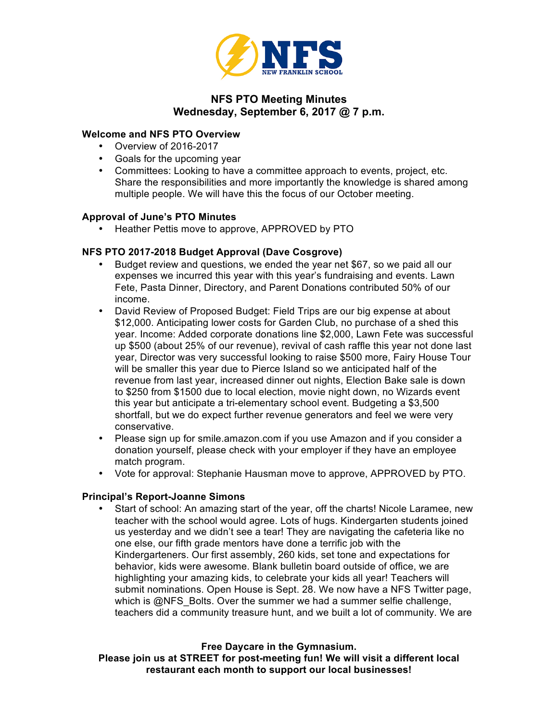

# **NFS PTO Meeting Minutes Wednesday, September 6, 2017 @ 7 p.m.**

#### **Welcome and NFS PTO Overview**

- Overview of 2016-2017
- Goals for the upcoming year
- Committees: Looking to have a committee approach to events, project, etc. Share the responsibilities and more importantly the knowledge is shared among multiple people. We will have this the focus of our October meeting.

# **Approval of June's PTO Minutes**

• Heather Pettis move to approve, APPROVED by PTO

# **NFS PTO 2017-2018 Budget Approval (Dave Cosgrove)**

- Budget review and questions, we ended the year net \$67, so we paid all our expenses we incurred this year with this year's fundraising and events. Lawn Fete, Pasta Dinner, Directory, and Parent Donations contributed 50% of our income.
- David Review of Proposed Budget: Field Trips are our big expense at about \$12,000. Anticipating lower costs for Garden Club, no purchase of a shed this year. Income: Added corporate donations line \$2,000, Lawn Fete was successful up \$500 (about 25% of our revenue), revival of cash raffle this year not done last year, Director was very successful looking to raise \$500 more, Fairy House Tour will be smaller this year due to Pierce Island so we anticipated half of the revenue from last year, increased dinner out nights, Election Bake sale is down to \$250 from \$1500 due to local election, movie night down, no Wizards event this year but anticipate a tri-elementary school event. Budgeting a \$3,500 shortfall, but we do expect further revenue generators and feel we were very conservative.
- Please sign up for smile.amazon.com if you use Amazon and if you consider a donation yourself, please check with your employer if they have an employee match program.
- Vote for approval: Stephanie Hausman move to approve, APPROVED by PTO.

# **Principal's Report-Joanne Simons**

• Start of school: An amazing start of the year, off the charts! Nicole Laramee, new teacher with the school would agree. Lots of hugs. Kindergarten students joined us yesterday and we didn't see a tear! They are navigating the cafeteria like no one else, our fifth grade mentors have done a terrific job with the Kindergarteners. Our first assembly, 260 kids, set tone and expectations for behavior, kids were awesome. Blank bulletin board outside of office, we are highlighting your amazing kids, to celebrate your kids all year! Teachers will submit nominations. Open House is Sept. 28. We now have a NFS Twitter page, which is @NFS\_Bolts. Over the summer we had a summer selfie challenge, teachers did a community treasure hunt, and we built a lot of community. We are

**Free Daycare in the Gymnasium.** 

**Please join us at STREET for post-meeting fun! We will visit a different local restaurant each month to support our local businesses!**